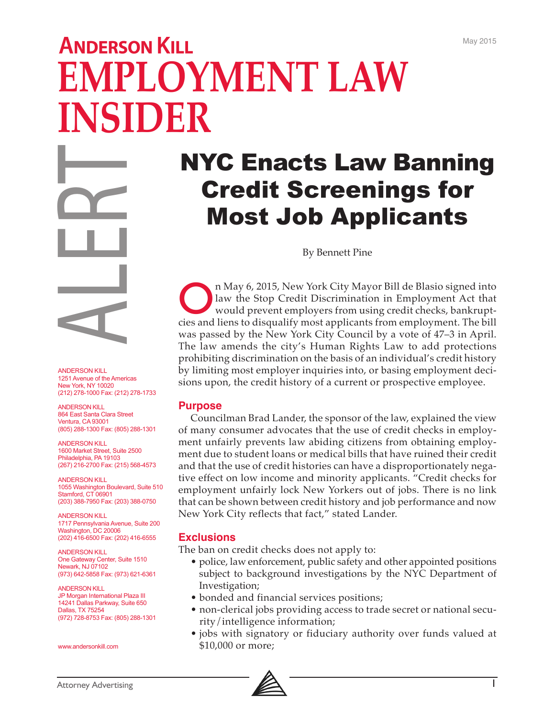# **ANDERSON KILL EMPLOYMENT LAW INSIDER**

NYC Enacts Law Banning Credit Screenings for Most Job Applicants

By Bennett Pine

On May 6, 2015, New York City Mayor Bill de Blasio signed into<br>law the Stop Credit Discrimination in Employment Act that<br>would prevent employers from using credit checks, bankrupt-<br>cies and lions to discussify most applica law the Stop Credit Discrimination in Employment Act that would prevent employers from using credit checks, bankruptcies and liens to disqualify most applicants from employment. The bill was passed by the New York City Council by a vote of 47–3 in April. The law amends the city's Human Rights Law to add protections prohibiting discrimination on the basis of an individual's credit history by limiting most employer inquiries into, or basing employment decisions upon, the credit history of a current or prospective employee.

#### **Purpose**

Councilman Brad Lander, the sponsor of the law, explained the view of many consumer advocates that the use of credit checks in employment unfairly prevents law abiding citizens from obtaining employment due to student loans or medical bills that have ruined their credit and that the use of credit histories can have a disproportionately negative effect on low income and minority applicants. "Credit checks for employment unfairly lock New Yorkers out of jobs. There is no link that can be shown between credit history and job performance and now New York City reflects that fact," stated Lander.

#### **Exclusions**

The ban on credit checks does not apply to:

- police, law enforcement, public safety and other appointed positions subject to background investigations by the NYC Department of Investigation;
- bonded and financial services positions;
- non-clerical jobs providing access to trade secret or national security/intelligence information;
- jobs with signatory or fiduciary authority over funds valued at \$10,000 or more;



ANDERSON KILL

ANDERSON KILL 864 East Santa Clara Street Ventura, CA 93001 (805) 288-1300 Fax: (805) 288-1301

ANDERSON KILL 1600 Market Street, Suite 2500 Philadelphia, PA 19103 (267) 216-2700 Fax: (215) 568-4573

ANDERSON KILL 1055 Washington Boulevard, Suite 510 Stamford, CT 06901 (203) 388-7950 Fax: (203) 388-0750

ANDERSON KILL 1717 Pennsylvania Avenue, Suite 200 Washington, DC 20006 (202) 416-6500 Fax: (202) 416-6555

ANDERSON KILL One Gateway Center, Suite 1510 Newark, NJ 07102 (973) 642-5858 Fax: (973) 621-6361

ANDERSON KILL JP Morgan International Plaza III 14241 Dallas Parkway, Suite 650 Dallas, TX 75254 (972) 728-8753 Fax: (805) 288-1301 MDERSON KILL<br>
2021 Parameter Content America<br>
1251 Avenue of the America<br>
1261 Avenue of the America<br>
2021 278-1000 Fax: (212) 2<br>
2021 278-1000 Fax: (212) 2<br>
ANDERSON KILL<br>
1600 Market Street, Suite 29<br>
2(807) 216-270 Fax:

www.andersonkill.com